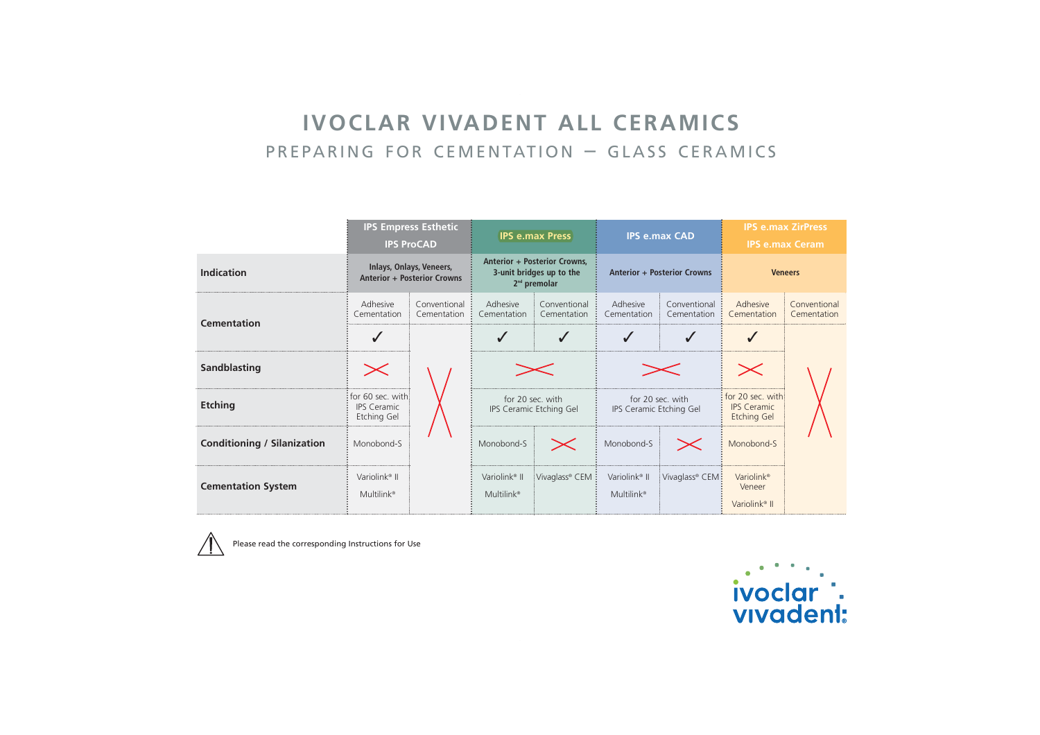# **IVOCLAR VIVADENT ALL CERAMICS** PREPARING FOR CEMENTATION - GLASS CERAMICS

|                             | <b>IPS Empress Esthetic</b><br><b>IPS ProCAD</b>               |                             | <b>IPS e.max Press</b>                                                     |                             | <b>IPS e.max CAD</b>                                |                             | <b>IPS e.max ZirPress</b><br><b>IPS e.max Ceram</b>           |                             |
|-----------------------------|----------------------------------------------------------------|-----------------------------|----------------------------------------------------------------------------|-----------------------------|-----------------------------------------------------|-----------------------------|---------------------------------------------------------------|-----------------------------|
| Indication                  | Inlays, Onlays, Veneers,<br><b>Anterior + Posterior Crowns</b> |                             | Anterior + Posterior Crowns,<br>3-unit bridges up to the<br>$2nd$ premolar |                             | <b>Anterior + Posterior Crowns</b>                  |                             | <b>Veneers</b>                                                |                             |
| <b>Cementation</b>          | Adhesive<br>Cementation                                        | Conventional<br>Cementation | Adhesive<br>Cementation                                                    | Conventional<br>Cementation | Adhesive<br>Cementation                             | Conventional<br>Cementation | Adhesive<br>Cementation                                       | Conventional<br>Cementation |
|                             | √                                                              |                             |                                                                            |                             |                                                     | ✔                           |                                                               |                             |
| Sandblasting                | $\boldsymbol{\times}$                                          |                             |                                                                            |                             |                                                     |                             | $\times$                                                      |                             |
| <b>Etching</b>              | for 60 sec. with<br><b>IPS Ceramic</b><br>Etching Gel          |                             | for 20 sec. with<br>IPS Ceramic Etching Gel                                |                             | for 20 sec. with<br>IPS Ceramic Etching Gel         |                             | for 20 sec. with<br><b>IPS Ceramic</b><br><b>Etching Gel</b>  |                             |
| Conditioning / Silanization | Monobond-S                                                     |                             | Monobond-S                                                                 | $\boldsymbol{\times}$       | Monobond-S                                          | $\boldsymbol{\times}$       | Monobond-S                                                    |                             |
| <b>Cementation System</b>   | Variolink <sup>®</sup> II<br>Multilink <sup>®</sup>            |                             | Variolink <sup>®</sup> II<br>Multilink <sup>®</sup>                        | Vivaglass® CEM              | Variolink <sup>®</sup> II<br>Multilink <sup>®</sup> | Vivaglass® CEM;             | Variolink <sup>®</sup><br>Veneer<br>Variolink <sup>®</sup> II |                             |



Please read the corresponding Instructions for Use